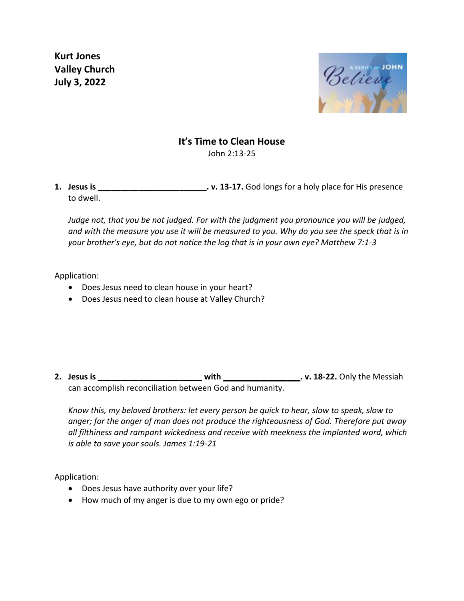**Kurt Jones Valley Church July 3, 2022**



## **It's Time to Clean House**

John 2:13-25

**1. Jesus is 1. Jesus is . v. 13-17.** God longs for a holy place for His presence to dwell.

*Judge not, that you be not judged. For with the judgment you pronounce you will be judged, and with the measure you use it will be measured to you. Why do you see the speck that is in your brother's eye, but do not notice the log that is in your own eye? Matthew 7:1-3*

Application:

- Does Jesus need to clean house in your heart?
- Does Jesus need to clean house at Valley Church?

**2. Jesus is \_\_\_\_\_\_\_\_\_\_\_\_\_\_\_\_\_\_\_\_\_\_\_ with \_\_\_\_\_\_\_\_\_\_\_\_\_\_\_\_\_. v. 18-22.** Only the Messiah can accomplish reconciliation between God and humanity.

*Know this, my beloved brothers: let every person be quick to hear, slow to speak, slow to anger; for the anger of man does not produce the righteousness of God. Therefore put away all filthiness and rampant wickedness and receive with meekness the implanted word, which is able to save your souls. James 1:19-21*

Application:

- Does Jesus have authority over your life?
- How much of my anger is due to my own ego or pride?